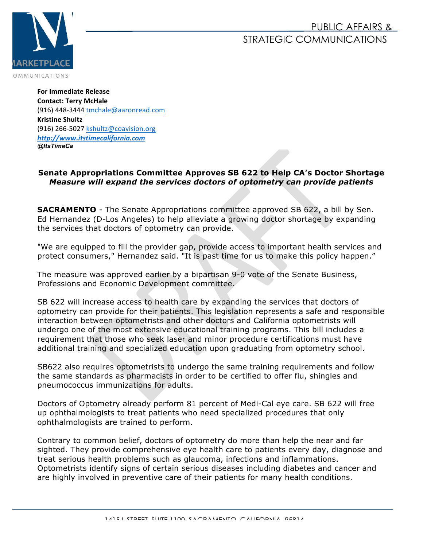## PUBLIC AFFAIRS & STRATEGIC COMMUNICATIONS



**For Immediate Release Contact: Terry McHale** (916) 448-3444 tmchale@aaronread.com **Kristine Shultz** (916) 266-5027 kshultz@coavision.org *http://www.itstimecalifornia.com @ItsTimeCa*

## **Senate Appropriations Committee Approves SB 622 to Help CA's Doctor Shortage** *Measure will expand the services doctors of optometry can provide patients*

**SACRAMENTO** - The Senate Appropriations committee approved SB 622, a bill by Sen. Ed Hernandez (D-Los Angeles) to help alleviate a growing doctor shortage by expanding the services that doctors of optometry can provide.

"We are equipped to fill the provider gap, provide access to important health services and protect consumers," Hernandez said. "It is past time for us to make this policy happen."

The measure was approved earlier by a bipartisan 9-0 vote of the Senate Business, Professions and Economic Development committee.

SB 622 will increase access to health care by expanding the services that doctors of optometry can provide for their patients. This legislation represents a safe and responsible interaction between optometrists and other doctors and California optometrists will undergo one of the most extensive educational training programs. This bill includes a requirement that those who seek laser and minor procedure certifications must have additional training and specialized education upon graduating from optometry school.

SB622 also requires optometrists to undergo the same training requirements and follow the same standards as pharmacists in order to be certified to offer flu, shingles and pneumococcus immunizations for adults.

Doctors of Optometry already perform 81 percent of Medi-Cal eye care. SB 622 will free up ophthalmologists to treat patients who need specialized procedures that only ophthalmologists are trained to perform.

Contrary to common belief, doctors of optometry do more than help the near and far sighted. They provide comprehensive eye health care to patients every day, diagnose and treat serious health problems such as glaucoma, infections and inflammations. Optometrists identify signs of certain serious diseases including diabetes and cancer and are highly involved in preventive care of their patients for many health conditions.